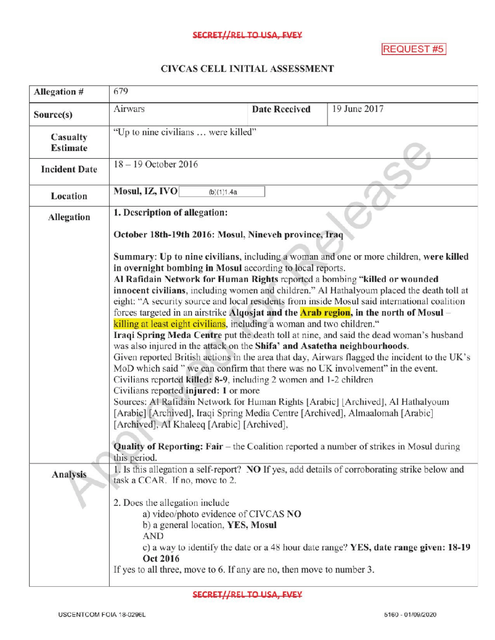## SECRET//REL TO USA, FVEY

REQUEST #5

## CIVCAS CELL INITIALASSESSMENT

| Allegation #                | 679                                                                                                                                                                                                                                                                                                                                                                                                                                                                                                                                                                                                                                                                                                                                                                                                                                                                                                                                                                                                                                                                                                                                                                                                                                                                                                                                                                                                        |                                                                           |                                                                       |                                                                                               |  |
|-----------------------------|------------------------------------------------------------------------------------------------------------------------------------------------------------------------------------------------------------------------------------------------------------------------------------------------------------------------------------------------------------------------------------------------------------------------------------------------------------------------------------------------------------------------------------------------------------------------------------------------------------------------------------------------------------------------------------------------------------------------------------------------------------------------------------------------------------------------------------------------------------------------------------------------------------------------------------------------------------------------------------------------------------------------------------------------------------------------------------------------------------------------------------------------------------------------------------------------------------------------------------------------------------------------------------------------------------------------------------------------------------------------------------------------------------|---------------------------------------------------------------------------|-----------------------------------------------------------------------|-----------------------------------------------------------------------------------------------|--|
| Source(s)                   | Airwars                                                                                                                                                                                                                                                                                                                                                                                                                                                                                                                                                                                                                                                                                                                                                                                                                                                                                                                                                                                                                                                                                                                                                                                                                                                                                                                                                                                                    |                                                                           | <b>Date Received</b>                                                  | 19 June 2017                                                                                  |  |
| Casualty<br><b>Estimate</b> | "Up to nine civilians  were killed"                                                                                                                                                                                                                                                                                                                                                                                                                                                                                                                                                                                                                                                                                                                                                                                                                                                                                                                                                                                                                                                                                                                                                                                                                                                                                                                                                                        |                                                                           |                                                                       |                                                                                               |  |
| <b>Incident Date</b>        | 18-19 October 2016                                                                                                                                                                                                                                                                                                                                                                                                                                                                                                                                                                                                                                                                                                                                                                                                                                                                                                                                                                                                                                                                                                                                                                                                                                                                                                                                                                                         |                                                                           |                                                                       |                                                                                               |  |
| <b>Location</b>             | Mosul, IZ, IVO                                                                                                                                                                                                                                                                                                                                                                                                                                                                                                                                                                                                                                                                                                                                                                                                                                                                                                                                                                                                                                                                                                                                                                                                                                                                                                                                                                                             | (b)(1)1.4a                                                                |                                                                       |                                                                                               |  |
| Allegation                  | 1. Description of allegation:                                                                                                                                                                                                                                                                                                                                                                                                                                                                                                                                                                                                                                                                                                                                                                                                                                                                                                                                                                                                                                                                                                                                                                                                                                                                                                                                                                              |                                                                           |                                                                       |                                                                                               |  |
|                             | October 18th-19th 2016: Mosul, Nineveh province, Iraq                                                                                                                                                                                                                                                                                                                                                                                                                                                                                                                                                                                                                                                                                                                                                                                                                                                                                                                                                                                                                                                                                                                                                                                                                                                                                                                                                      |                                                                           |                                                                       |                                                                                               |  |
|                             | Summary: Up to nine civilians, including a woman and one or more children, were killed<br>in overnight bombing in Mosul according to local reports.<br>Al Rafidain Network for Human Rights reported a bombing "killed or wounded<br>innocent civilians, including women and children." Al Hathalyoum placed the death toll at<br>eight: "A security source and local residents from inside Mosul said international coalition<br>forces targeted in an airstrike Algosjat and the <b>Arab region</b> , in the north of Mosul –<br>killing at least eight civilians, including a woman and two children."<br>Iraqi Spring Meda Centre put the death toll at nine, and said the dead woman's husband<br>was also injured in the attack on the Shifa' and Asatetha neighbourhoods.<br>Given reported British actions in the area that day, Airwars flagged the incident to the UK's<br>MoD which said " we can confirm that there was no UK involvement" in the event.<br>Civilians reported killed: 8-9, including 2 women and 1-2 children<br>Civilians reported injured: 1 or more<br>Sources: Al Rafidain Network for Human Rights [Arabic] [Archived], Al Hathalyoum<br>[Arabic] [Archived], Iraqi Spring Media Centre [Archived], Almaalomah [Arabic]<br>[Archived], Al Khaleeq [Arabic] [Archived],<br><b>Quality of Reporting: Fair</b> – the Coalition reported a number of strikes in Mosul during |                                                                           |                                                                       |                                                                                               |  |
| Analysis                    | this period.<br>task a CCAR. If no, move to 2.                                                                                                                                                                                                                                                                                                                                                                                                                                                                                                                                                                                                                                                                                                                                                                                                                                                                                                                                                                                                                                                                                                                                                                                                                                                                                                                                                             |                                                                           |                                                                       | 1. Is this allegation a self-report? NO If yes, add details of corroborating strike below and |  |
|                             | 2. Does the allegation include<br><b>AND</b><br>Oct 2016                                                                                                                                                                                                                                                                                                                                                                                                                                                                                                                                                                                                                                                                                                                                                                                                                                                                                                                                                                                                                                                                                                                                                                                                                                                                                                                                                   | a) video/photo evidence of CIVCAS NO<br>b) a general location, YES, Mosul | If yes to all three, move to 6. If any are no, then move to number 3. | c) a way to identify the date or a 48 hour date range? YES, date range given: 18-19           |  |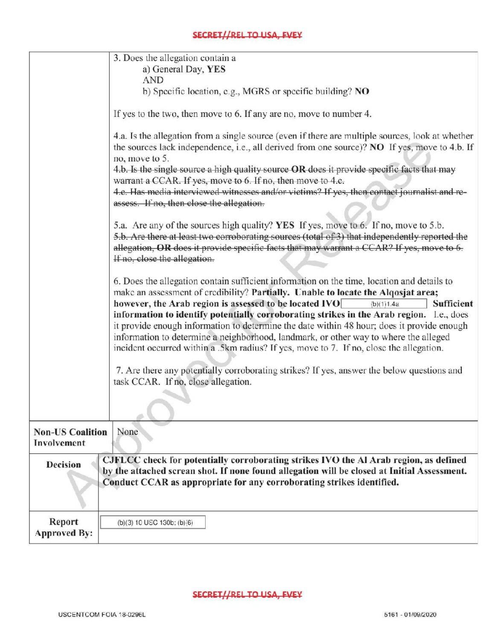|                                        | 3. Does the allegation contain a                                                                                                                                                                                                                                                                                                                                                                                                                                                                                                                                                                                                                  |
|----------------------------------------|---------------------------------------------------------------------------------------------------------------------------------------------------------------------------------------------------------------------------------------------------------------------------------------------------------------------------------------------------------------------------------------------------------------------------------------------------------------------------------------------------------------------------------------------------------------------------------------------------------------------------------------------------|
|                                        | a) General Day, YES<br><b>AND</b>                                                                                                                                                                                                                                                                                                                                                                                                                                                                                                                                                                                                                 |
|                                        | b) Specific location, e.g., MGRS or specific building? NO                                                                                                                                                                                                                                                                                                                                                                                                                                                                                                                                                                                         |
|                                        |                                                                                                                                                                                                                                                                                                                                                                                                                                                                                                                                                                                                                                                   |
|                                        | If yes to the two, then move to 6. If any are no, move to number 4.                                                                                                                                                                                                                                                                                                                                                                                                                                                                                                                                                                               |
|                                        | 4.a. Is the allegation from a single source (even if there are multiple sources, look at whether<br>the sources lack independence, i.e., all derived from one source)? NO If yes, move to 4.b. If<br>no, move to 5.                                                                                                                                                                                                                                                                                                                                                                                                                               |
|                                        | 4.b. Is the single source a high quality source OR does it provide specific facts that may                                                                                                                                                                                                                                                                                                                                                                                                                                                                                                                                                        |
|                                        | warrant a CCAR. If yes, move to 6. If no, then move to 4.c.<br>4.e. Has media interviewed witnesses and/or victims? If yes, then contact journalist and re-                                                                                                                                                                                                                                                                                                                                                                                                                                                                                       |
|                                        | assess. If no, then close the allegation.                                                                                                                                                                                                                                                                                                                                                                                                                                                                                                                                                                                                         |
|                                        |                                                                                                                                                                                                                                                                                                                                                                                                                                                                                                                                                                                                                                                   |
|                                        | 5.a. Are any of the sources high quality? YES If yes, move to 6. If no, move to 5.b.<br>5.b. Are there at least two corroborating sources (total of 3) that independently reported the<br>allegation, OR does it provide specific facts that may warrant a CCAR? If yes, move to 6.<br>If no, close the allegation.                                                                                                                                                                                                                                                                                                                               |
|                                        |                                                                                                                                                                                                                                                                                                                                                                                                                                                                                                                                                                                                                                                   |
|                                        | 6. Does the allegation contain sufficient information on the time, location and details to<br>make an assessment of credibility? Partially. Unable to locate the Alqosjat area;<br>however, the Arab region is assessed to be located IVO<br>Sufficient<br>(b)(1)1.4a<br>information to identify potentially corroborating strikes in the Arab region. Le., does<br>it provide enough information to determine the date within 48 hour; does it provide enough<br>information to determine a neighborhood, landmark, or other way to where the alleged<br>incident occurred within a .5km radius? If yes, move to 7. If no, close the allegation. |
|                                        | 7. Are there any potentially corroborating strikes? If yes, answer the below questions and                                                                                                                                                                                                                                                                                                                                                                                                                                                                                                                                                        |
|                                        | task CCAR. If no, close allegation.                                                                                                                                                                                                                                                                                                                                                                                                                                                                                                                                                                                                               |
|                                        |                                                                                                                                                                                                                                                                                                                                                                                                                                                                                                                                                                                                                                                   |
| <b>Non-US Coalition</b><br>Involvement | None                                                                                                                                                                                                                                                                                                                                                                                                                                                                                                                                                                                                                                              |
| <b>Decision</b>                        | CJFLCC check for potentially corroborating strikes IVO the Al Arab region, as defined<br>by the attached screan shot. If none found allegation will be closed at Initial Assessment.<br>Conduct CCAR as appropriate for any corroborating strikes identified.                                                                                                                                                                                                                                                                                                                                                                                     |
| Report<br><b>Approved By:</b>          | (b)(3) 10 USC 130b; (b)(6)                                                                                                                                                                                                                                                                                                                                                                                                                                                                                                                                                                                                                        |